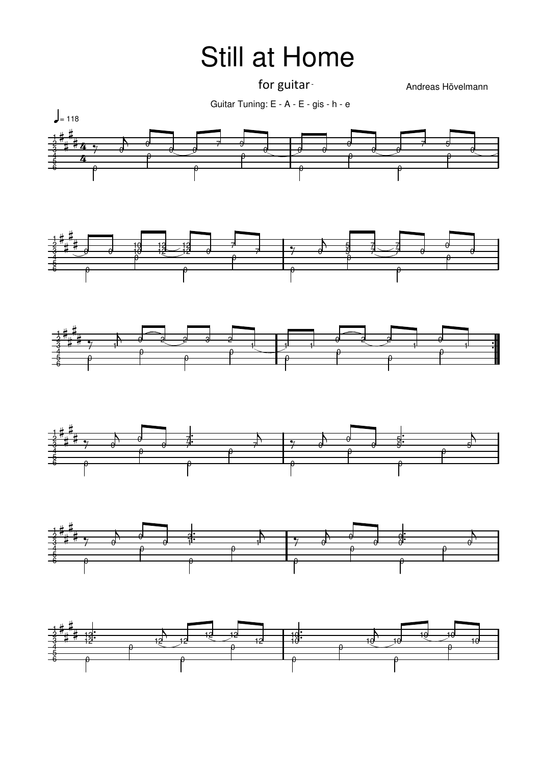## Still at Home

for guitar

Andreas Hövelmann

Guitar Tuning: E - A - E - gis - h - e